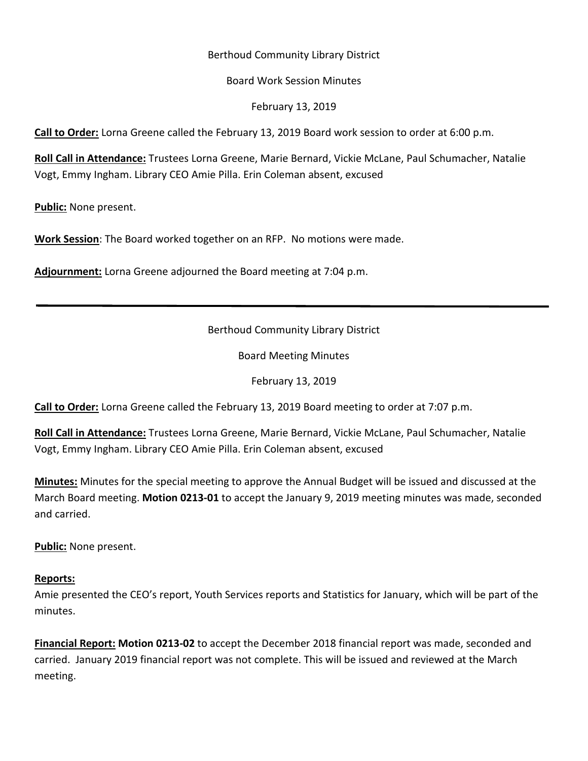### Berthoud Community Library District

#### Board Work Session Minutes

February 13, 2019

**Call to Order:** Lorna Greene called the February 13, 2019 Board work session to order at 6:00 p.m.

**Roll Call in Attendance:** Trustees Lorna Greene, Marie Bernard, Vickie McLane, Paul Schumacher, Natalie Vogt, Emmy Ingham. Library CEO Amie Pilla. Erin Coleman absent, excused

**Public:** None present.

**Work Session**: The Board worked together on an RFP. No motions were made.

**Adjournment:** Lorna Greene adjourned the Board meeting at 7:04 p.m.

# Berthoud Community Library District

Board Meeting Minutes

February 13, 2019

**Call to Order:** Lorna Greene called the February 13, 2019 Board meeting to order at 7:07 p.m.

**Roll Call in Attendance:** Trustees Lorna Greene, Marie Bernard, Vickie McLane, Paul Schumacher, Natalie Vogt, Emmy Ingham. Library CEO Amie Pilla. Erin Coleman absent, excused

**Minutes:** Minutes for the special meeting to approve the Annual Budget will be issued and discussed at the March Board meeting. **Motion 0213-01** to accept the January 9, 2019 meeting minutes was made, seconded and carried.

**Public:** None present.

#### **Reports:**

Amie presented the CEO's report, Youth Services reports and Statistics for January, which will be part of the minutes.

**Financial Report: Motion 0213-02** to accept the December 2018 financial report was made, seconded and carried. January 2019 financial report was not complete. This will be issued and reviewed at the March meeting.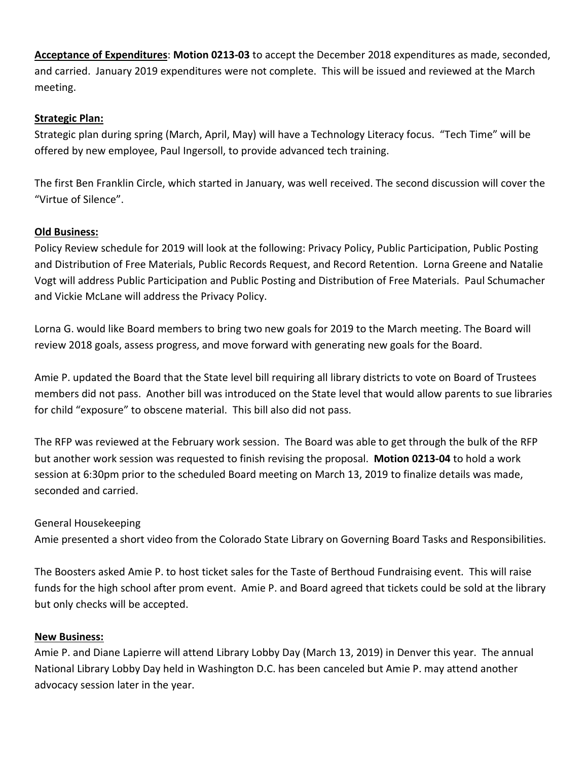**Acceptance of Expenditures**: **Motion 0213-03** to accept the December 2018 expenditures as made, seconded, and carried. January 2019 expenditures were not complete. This will be issued and reviewed at the March meeting.

# **Strategic Plan:**

Strategic plan during spring (March, April, May) will have a Technology Literacy focus. "Tech Time" will be offered by new employee, Paul Ingersoll, to provide advanced tech training.

The first Ben Franklin Circle, which started in January, was well received. The second discussion will cover the "Virtue of Silence".

# **Old Business:**

Policy Review schedule for 2019 will look at the following: Privacy Policy, Public Participation, Public Posting and Distribution of Free Materials, Public Records Request, and Record Retention. Lorna Greene and Natalie Vogt will address Public Participation and Public Posting and Distribution of Free Materials. Paul Schumacher and Vickie McLane will address the Privacy Policy.

Lorna G. would like Board members to bring two new goals for 2019 to the March meeting. The Board will review 2018 goals, assess progress, and move forward with generating new goals for the Board.

Amie P. updated the Board that the State level bill requiring all library districts to vote on Board of Trustees members did not pass. Another bill was introduced on the State level that would allow parents to sue libraries for child "exposure" to obscene material. This bill also did not pass.

The RFP was reviewed at the February work session. The Board was able to get through the bulk of the RFP but another work session was requested to finish revising the proposal. **Motion 0213-04** to hold a work session at 6:30pm prior to the scheduled Board meeting on March 13, 2019 to finalize details was made, seconded and carried.

# General Housekeeping

Amie presented a short video from the Colorado State Library on Governing Board Tasks and Responsibilities.

The Boosters asked Amie P. to host ticket sales for the Taste of Berthoud Fundraising event. This will raise funds for the high school after prom event. Amie P. and Board agreed that tickets could be sold at the library but only checks will be accepted.

# **New Business:**

Amie P. and Diane Lapierre will attend Library Lobby Day (March 13, 2019) in Denver this year. The annual National Library Lobby Day held in Washington D.C. has been canceled but Amie P. may attend another advocacy session later in the year.